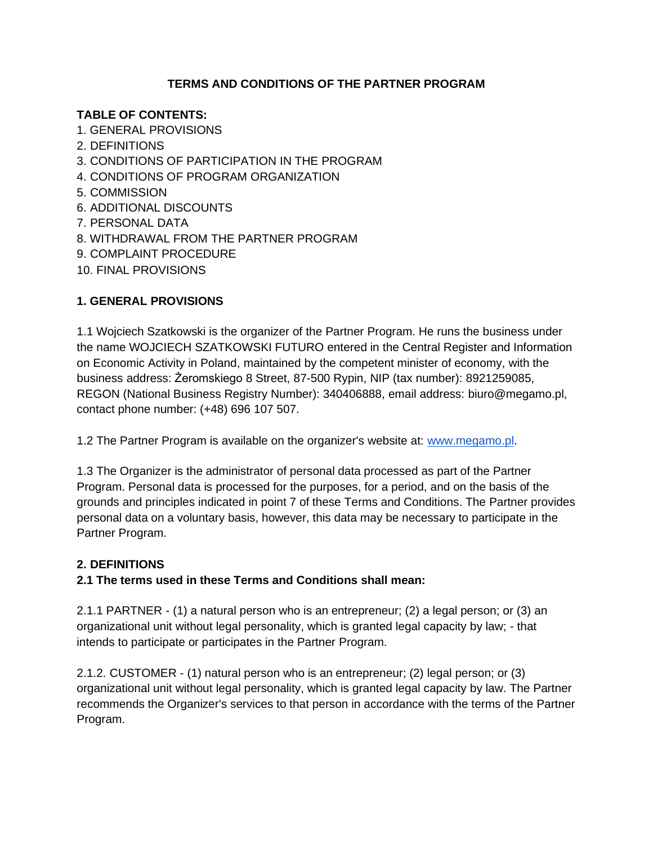## **TERMS AND CONDITIONS OF THE PARTNER PROGRAM**

### **TABLE OF CONTENTS:**

1. GENERAL PROVISIONS 2. DEFINITIONS 3. CONDITIONS OF PARTICIPATION IN THE PROGRAM 4. CONDITIONS OF PROGRAM ORGANIZATION 5. COMMISSION 6. ADDITIONAL DISCOUNTS 7. PERSONAL DATA 8. WITHDRAWAL FROM THE PARTNER PROGRAM 9. COMPLAINT PROCEDURE 10. FINAL PROVISIONS

# **1. GENERAL PROVISIONS**

1.1 Wojciech Szatkowski is the organizer of the Partner Program. He runs the business under the name WOJCIECH SZATKOWSKI FUTURO entered in the Central Register and Information on Economic Activity in Poland, maintained by the competent minister of economy, with the business address: Żeromskiego 8 Street, 87-500 Rypin, NIP (tax number): 8921259085, REGON (National Business Registry Number): 340406888, email address: biuro@megamo.pl, contact phone number: (+48) 696 107 507.

1.2 The Partner Program is available on the organizer's website at: [www.megamo.pl.](http://www.megamo.pl/)

1.3 The Organizer is the administrator of personal data processed as part of the Partner Program. Personal data is processed for the purposes, for a period, and on the basis of the grounds and principles indicated in point 7 of these Terms and Conditions. The Partner provides personal data on a voluntary basis, however, this data may be necessary to participate in the Partner Program.

## **2. DEFINITIONS**

## **2.1 The terms used in these Terms and Conditions shall mean:**

2.1.1 PARTNER - (1) a natural person who is an entrepreneur; (2) a legal person; or (3) an organizational unit without legal personality, which is granted legal capacity by law; - that intends to participate or participates in the Partner Program.

2.1.2. CUSTOMER - (1) natural person who is an entrepreneur; (2) legal person; or (3) organizational unit without legal personality, which is granted legal capacity by law. The Partner recommends the Organizer's services to that person in accordance with the terms of the Partner Program.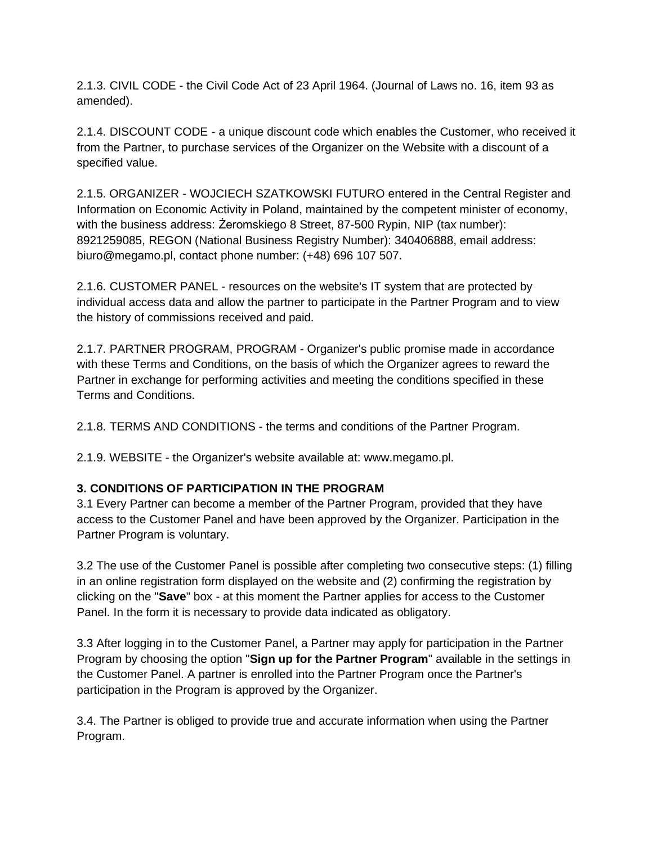2.1.3. CIVIL CODE - the Civil Code Act of 23 April 1964. (Journal of Laws no. 16, item 93 as amended).

2.1.4. DISCOUNT CODE - a unique discount code which enables the Customer, who received it from the Partner, to purchase services of the Organizer on the Website with a discount of a specified value.

2.1.5. ORGANIZER - WOJCIECH SZATKOWSKI FUTURO entered in the Central Register and Information on Economic Activity in Poland, maintained by the competent minister of economy, with the business address: Żeromskiego 8 Street, 87-500 Rypin, NIP (tax number): 8921259085, REGON (National Business Registry Number): 340406888, email address: biuro@megamo.pl, contact phone number: (+48) 696 107 507.

2.1.6. CUSTOMER PANEL - resources on the website's IT system that are protected by individual access data and allow the partner to participate in the Partner Program and to view the history of commissions received and paid.

2.1.7. PARTNER PROGRAM, PROGRAM - Organizer's public promise made in accordance with these Terms and Conditions, on the basis of which the Organizer agrees to reward the Partner in exchange for performing activities and meeting the conditions specified in these Terms and Conditions.

2.1.8. TERMS AND CONDITIONS - the terms and conditions of the Partner Program.

2.1.9. WEBSITE - the Organizer's website available at: www.megamo.pl.

## **3. CONDITIONS OF PARTICIPATION IN THE PROGRAM**

3.1 Every Partner can become a member of the Partner Program, provided that they have access to the Customer Panel and have been approved by the Organizer. Participation in the Partner Program is voluntary.

3.2 The use of the Customer Panel is possible after completing two consecutive steps: (1) filling in an online registration form displayed on the website and (2) confirming the registration by clicking on the "**Save**" box - at this moment the Partner applies for access to the Customer Panel. In the form it is necessary to provide data indicated as obligatory.

3.3 After logging in to the Customer Panel, a Partner may apply for participation in the Partner Program by choosing the option "**Sign up for the Partner Program**" available in the settings in the Customer Panel. A partner is enrolled into the Partner Program once the Partner's participation in the Program is approved by the Organizer.

3.4. The Partner is obliged to provide true and accurate information when using the Partner Program.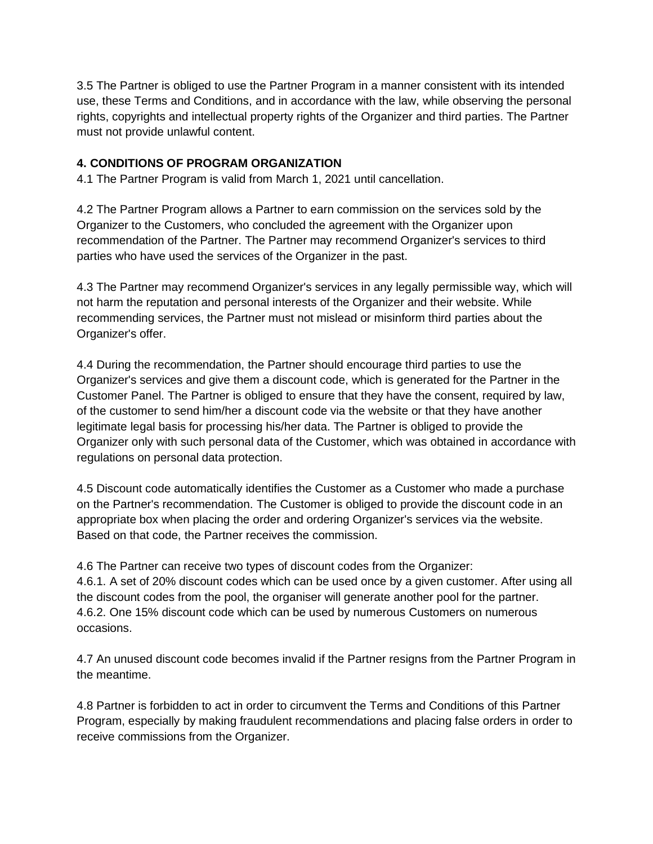3.5 The Partner is obliged to use the Partner Program in a manner consistent with its intended use, these Terms and Conditions, and in accordance with the law, while observing the personal rights, copyrights and intellectual property rights of the Organizer and third parties. The Partner must not provide unlawful content.

#### **4. CONDITIONS OF PROGRAM ORGANIZATION**

4.1 The Partner Program is valid from March 1, 2021 until cancellation.

4.2 The Partner Program allows a Partner to earn commission on the services sold by the Organizer to the Customers, who concluded the agreement with the Organizer upon recommendation of the Partner. The Partner may recommend Organizer's services to third parties who have used the services of the Organizer in the past.

4.3 The Partner may recommend Organizer's services in any legally permissible way, which will not harm the reputation and personal interests of the Organizer and their website. While recommending services, the Partner must not mislead or misinform third parties about the Organizer's offer.

4.4 During the recommendation, the Partner should encourage third parties to use the Organizer's services and give them a discount code, which is generated for the Partner in the Customer Panel. The Partner is obliged to ensure that they have the consent, required by law, of the customer to send him/her a discount code via the website or that they have another legitimate legal basis for processing his/her data. The Partner is obliged to provide the Organizer only with such personal data of the Customer, which was obtained in accordance with regulations on personal data protection.

4.5 Discount code automatically identifies the Customer as a Customer who made a purchase on the Partner's recommendation. The Customer is obliged to provide the discount code in an appropriate box when placing the order and ordering Organizer's services via the website. Based on that code, the Partner receives the commission.

4.6 The Partner can receive two types of discount codes from the Organizer: 4.6.1. A set of 20% discount codes which can be used once by a given customer. After using all the discount codes from the pool, the organiser will generate another pool for the partner. 4.6.2. One 15% discount code which can be used by numerous Customers on numerous occasions.

4.7 An unused discount code becomes invalid if the Partner resigns from the Partner Program in the meantime.

4.8 Partner is forbidden to act in order to circumvent the Terms and Conditions of this Partner Program, especially by making fraudulent recommendations and placing false orders in order to receive commissions from the Organizer.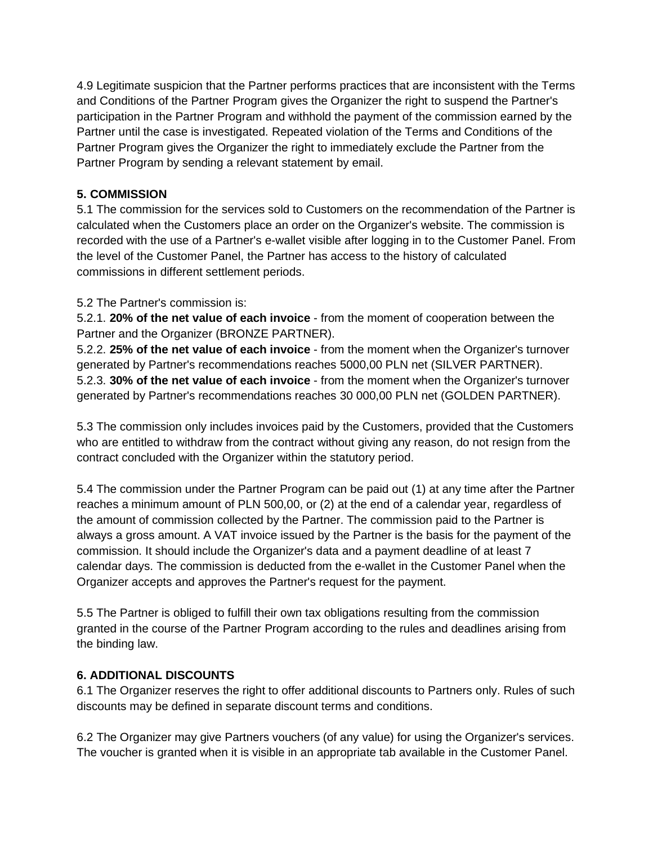4.9 Legitimate suspicion that the Partner performs practices that are inconsistent with the Terms and Conditions of the Partner Program gives the Organizer the right to suspend the Partner's participation in the Partner Program and withhold the payment of the commission earned by the Partner until the case is investigated. Repeated violation of the Terms and Conditions of the Partner Program gives the Organizer the right to immediately exclude the Partner from the Partner Program by sending a relevant statement by email.

## **5. COMMISSION**

5.1 The commission for the services sold to Customers on the recommendation of the Partner is calculated when the Customers place an order on the Organizer's website. The commission is recorded with the use of a Partner's e-wallet visible after logging in to the Customer Panel. From the level of the Customer Panel, the Partner has access to the history of calculated commissions in different settlement periods.

# 5.2 The Partner's commission is:

5.2.1. **20% of the net value of each invoice** - from the moment of cooperation between the Partner and the Organizer (BRONZE PARTNER).

5.2.2. **25% of the net value of each invoice** - from the moment when the Organizer's turnover generated by Partner's recommendations reaches 5000,00 PLN net (SILVER PARTNER). 5.2.3. **30% of the net value of each invoice** - from the moment when the Organizer's turnover generated by Partner's recommendations reaches 30 000,00 PLN net (GOLDEN PARTNER).

5.3 The commission only includes invoices paid by the Customers, provided that the Customers who are entitled to withdraw from the contract without giving any reason, do not resign from the contract concluded with the Organizer within the statutory period.

5.4 The commission under the Partner Program can be paid out (1) at any time after the Partner reaches a minimum amount of PLN 500,00, or (2) at the end of a calendar year, regardless of the amount of commission collected by the Partner. The commission paid to the Partner is always a gross amount. A VAT invoice issued by the Partner is the basis for the payment of the commission. It should include the Organizer's data and a payment deadline of at least 7 calendar days. The commission is deducted from the e-wallet in the Customer Panel when the Organizer accepts and approves the Partner's request for the payment.

5.5 The Partner is obliged to fulfill their own tax obligations resulting from the commission granted in the course of the Partner Program according to the rules and deadlines arising from the binding law.

## **6. ADDITIONAL DISCOUNTS**

6.1 The Organizer reserves the right to offer additional discounts to Partners only. Rules of such discounts may be defined in separate discount terms and conditions.

6.2 The Organizer may give Partners vouchers (of any value) for using the Organizer's services. The voucher is granted when it is visible in an appropriate tab available in the Customer Panel.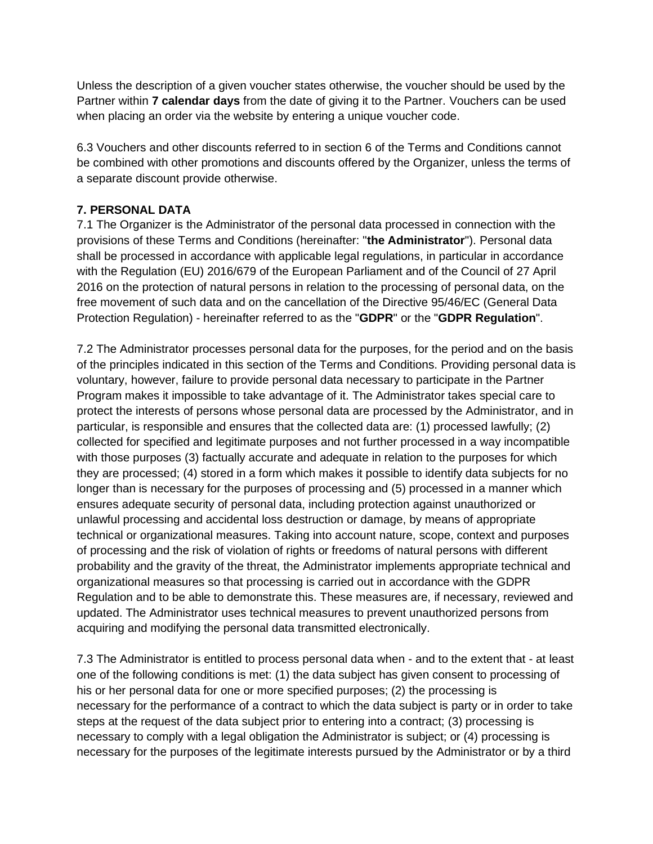Unless the description of a given voucher states otherwise, the voucher should be used by the Partner within **7 calendar days** from the date of giving it to the Partner. Vouchers can be used when placing an order via the website by entering a unique voucher code.

6.3 Vouchers and other discounts referred to in section 6 of the Terms and Conditions cannot be combined with other promotions and discounts offered by the Organizer, unless the terms of a separate discount provide otherwise.

### **7. PERSONAL DATA**

7.1 The Organizer is the Administrator of the personal data processed in connection with the provisions of these Terms and Conditions (hereinafter: "**the Administrator**"). Personal data shall be processed in accordance with applicable legal regulations, in particular in accordance with the Regulation (EU) 2016/679 of the European Parliament and of the Council of 27 April 2016 on the protection of natural persons in relation to the processing of personal data, on the free movement of such data and on the cancellation of the Directive 95/46/EC (General Data Protection Regulation) - hereinafter referred to as the "**GDPR**" or the "**GDPR Regulation**".

7.2 The Administrator processes personal data for the purposes, for the period and on the basis of the principles indicated in this section of the Terms and Conditions. Providing personal data is voluntary, however, failure to provide personal data necessary to participate in the Partner Program makes it impossible to take advantage of it. The Administrator takes special care to protect the interests of persons whose personal data are processed by the Administrator, and in particular, is responsible and ensures that the collected data are: (1) processed lawfully; (2) collected for specified and legitimate purposes and not further processed in a way incompatible with those purposes (3) factually accurate and adequate in relation to the purposes for which they are processed; (4) stored in a form which makes it possible to identify data subjects for no longer than is necessary for the purposes of processing and (5) processed in a manner which ensures adequate security of personal data, including protection against unauthorized or unlawful processing and accidental loss destruction or damage, by means of appropriate technical or organizational measures. Taking into account nature, scope, context and purposes of processing and the risk of violation of rights or freedoms of natural persons with different probability and the gravity of the threat, the Administrator implements appropriate technical and organizational measures so that processing is carried out in accordance with the GDPR Regulation and to be able to demonstrate this. These measures are, if necessary, reviewed and updated. The Administrator uses technical measures to prevent unauthorized persons from acquiring and modifying the personal data transmitted electronically.

7.3 The Administrator is entitled to process personal data when - and to the extent that - at least one of the following conditions is met: (1) the data subject has given consent to processing of his or her personal data for one or more specified purposes; (2) the processing is necessary for the performance of a contract to which the data subject is party or in order to take steps at the request of the data subject prior to entering into a contract; (3) processing is necessary to comply with a legal obligation the Administrator is subject; or (4) processing is necessary for the purposes of the legitimate interests pursued by the Administrator or by a third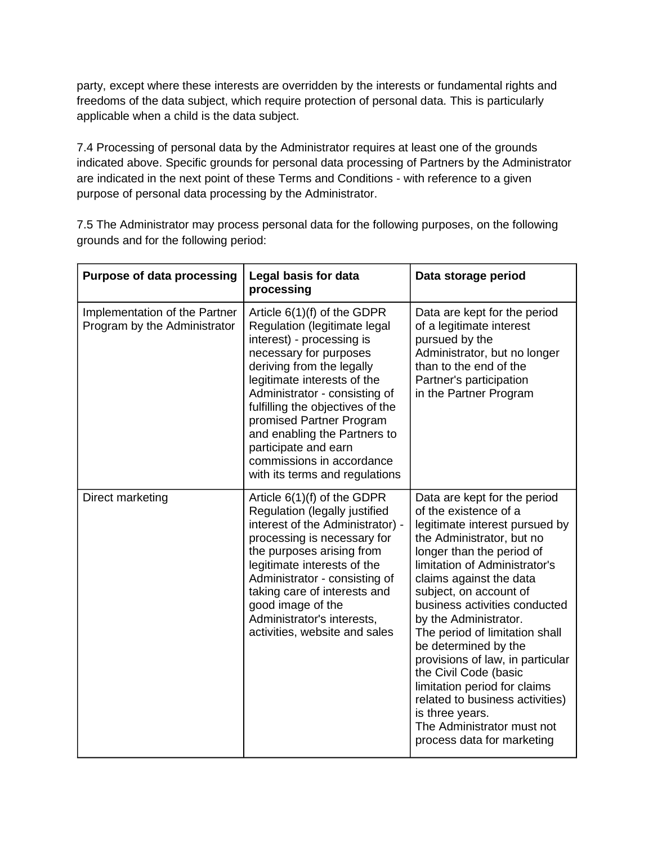party, except where these interests are overridden by the interests or fundamental rights and freedoms of the data subject, which require protection of personal data. This is particularly applicable when a child is the data subject.

7.4 Processing of personal data by the Administrator requires at least one of the grounds indicated above. Specific grounds for personal data processing of Partners by the Administrator are indicated in the next point of these Terms and Conditions - with reference to a given purpose of personal data processing by the Administrator.

7.5 The Administrator may process personal data for the following purposes, on the following grounds and for the following period:

| <b>Purpose of data processing</b>                             | Legal basis for data<br>processing                                                                                                                                                                                                                                                                                                                                                                       | Data storage period                                                                                                                                                                                                                                                                                                                                                                                                                                                                                                                                                        |
|---------------------------------------------------------------|----------------------------------------------------------------------------------------------------------------------------------------------------------------------------------------------------------------------------------------------------------------------------------------------------------------------------------------------------------------------------------------------------------|----------------------------------------------------------------------------------------------------------------------------------------------------------------------------------------------------------------------------------------------------------------------------------------------------------------------------------------------------------------------------------------------------------------------------------------------------------------------------------------------------------------------------------------------------------------------------|
| Implementation of the Partner<br>Program by the Administrator | Article $6(1)(f)$ of the GDPR<br>Regulation (legitimate legal<br>interest) - processing is<br>necessary for purposes<br>deriving from the legally<br>legitimate interests of the<br>Administrator - consisting of<br>fulfilling the objectives of the<br>promised Partner Program<br>and enabling the Partners to<br>participate and earn<br>commissions in accordance<br>with its terms and regulations | Data are kept for the period<br>of a legitimate interest<br>pursued by the<br>Administrator, but no longer<br>than to the end of the<br>Partner's participation<br>in the Partner Program                                                                                                                                                                                                                                                                                                                                                                                  |
| Direct marketing                                              | Article $6(1)(f)$ of the GDPR<br>Regulation (legally justified<br>interest of the Administrator) -<br>processing is necessary for<br>the purposes arising from<br>legitimate interests of the<br>Administrator - consisting of<br>taking care of interests and<br>good image of the<br>Administrator's interests,<br>activities, website and sales                                                       | Data are kept for the period<br>of the existence of a<br>legitimate interest pursued by<br>the Administrator, but no<br>longer than the period of<br>limitation of Administrator's<br>claims against the data<br>subject, on account of<br>business activities conducted<br>by the Administrator.<br>The period of limitation shall<br>be determined by the<br>provisions of law, in particular<br>the Civil Code (basic<br>limitation period for claims<br>related to business activities)<br>is three years.<br>The Administrator must not<br>process data for marketing |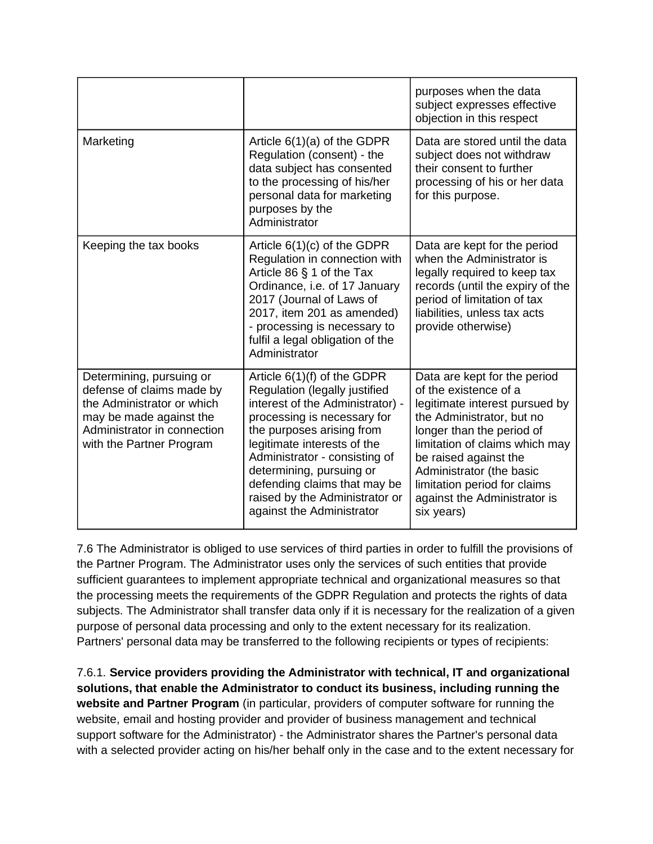|                                                                                                                                                                           |                                                                                                                                                                                                                                                                                                                                                           | purposes when the data<br>subject expresses effective<br>objection in this respect                                                                                                                                                                                                                                     |
|---------------------------------------------------------------------------------------------------------------------------------------------------------------------------|-----------------------------------------------------------------------------------------------------------------------------------------------------------------------------------------------------------------------------------------------------------------------------------------------------------------------------------------------------------|------------------------------------------------------------------------------------------------------------------------------------------------------------------------------------------------------------------------------------------------------------------------------------------------------------------------|
| Marketing                                                                                                                                                                 | Article $6(1)(a)$ of the GDPR<br>Regulation (consent) - the<br>data subject has consented<br>to the processing of his/her<br>personal data for marketing<br>purposes by the<br>Administrator                                                                                                                                                              | Data are stored until the data<br>subject does not withdraw<br>their consent to further<br>processing of his or her data<br>for this purpose.                                                                                                                                                                          |
| Keeping the tax books                                                                                                                                                     | Article $6(1)(c)$ of the GDPR<br>Regulation in connection with<br>Article 86 § 1 of the Tax<br>Ordinance, i.e. of 17 January<br>2017 (Journal of Laws of<br>2017, item 201 as amended)<br>- processing is necessary to<br>fulfil a legal obligation of the<br>Administrator                                                                               | Data are kept for the period<br>when the Administrator is<br>legally required to keep tax<br>records (until the expiry of the<br>period of limitation of tax<br>liabilities, unless tax acts<br>provide otherwise)                                                                                                     |
| Determining, pursuing or<br>defense of claims made by<br>the Administrator or which<br>may be made against the<br>Administrator in connection<br>with the Partner Program | Article $6(1)(f)$ of the GDPR<br>Regulation (legally justified<br>interest of the Administrator) -<br>processing is necessary for<br>the purposes arising from<br>legitimate interests of the<br>Administrator - consisting of<br>determining, pursuing or<br>defending claims that may be<br>raised by the Administrator or<br>against the Administrator | Data are kept for the period<br>of the existence of a<br>legitimate interest pursued by<br>the Administrator, but no<br>longer than the period of<br>limitation of claims which may<br>be raised against the<br>Administrator (the basic<br>limitation period for claims<br>against the Administrator is<br>six years) |

7.6 The Administrator is obliged to use services of third parties in order to fulfill the provisions of the Partner Program. The Administrator uses only the services of such entities that provide sufficient guarantees to implement appropriate technical and organizational measures so that the processing meets the requirements of the GDPR Regulation and protects the rights of data subjects. The Administrator shall transfer data only if it is necessary for the realization of a given purpose of personal data processing and only to the extent necessary for its realization. Partners' personal data may be transferred to the following recipients or types of recipients:

7.6.1. **Service providers providing the Administrator with technical, IT and organizational solutions, that enable the Administrator to conduct its business, including running the website and Partner Program** (in particular, providers of computer software for running the website, email and hosting provider and provider of business management and technical support software for the Administrator) - the Administrator shares the Partner's personal data with a selected provider acting on his/her behalf only in the case and to the extent necessary for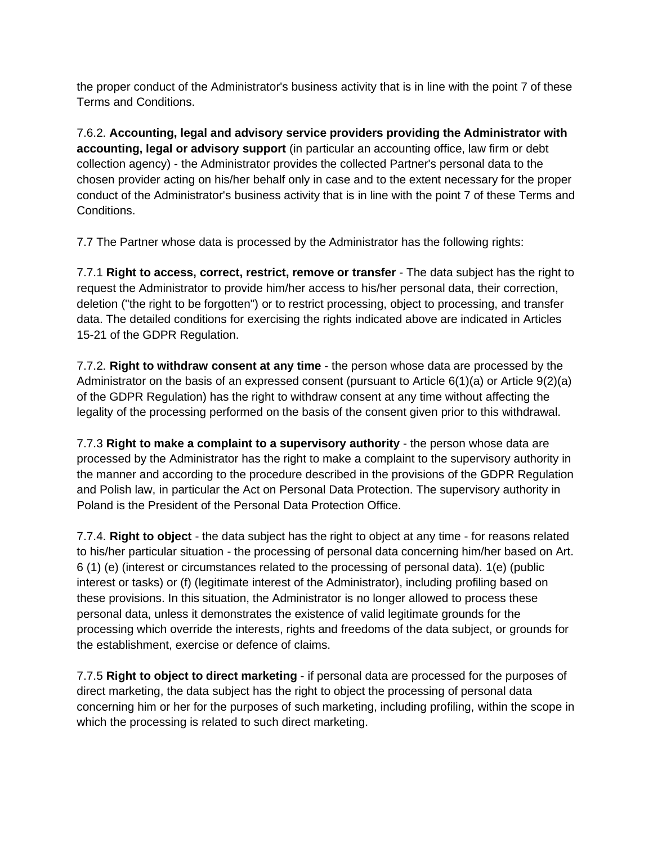the proper conduct of the Administrator's business activity that is in line with the point 7 of these Terms and Conditions.

7.6.2. **Accounting, legal and advisory service providers providing the Administrator with accounting, legal or advisory support** (in particular an accounting office, law firm or debt collection agency) - the Administrator provides the collected Partner's personal data to the chosen provider acting on his/her behalf only in case and to the extent necessary for the proper conduct of the Administrator's business activity that is in line with the point 7 of these Terms and Conditions.

7.7 The Partner whose data is processed by the Administrator has the following rights:

7.7.1 **Right to access, correct, restrict, remove or transfer** - The data subject has the right to request the Administrator to provide him/her access to his/her personal data, their correction, deletion ("the right to be forgotten") or to restrict processing, object to processing, and transfer data. The detailed conditions for exercising the rights indicated above are indicated in Articles 15-21 of the GDPR Regulation.

7.7.2. **Right to withdraw consent at any time** - the person whose data are processed by the Administrator on the basis of an expressed consent (pursuant to Article 6(1)(a) or Article 9(2)(a) of the GDPR Regulation) has the right to withdraw consent at any time without affecting the legality of the processing performed on the basis of the consent given prior to this withdrawal.

7.7.3 **Right to make a complaint to a supervisory authority** - the person whose data are processed by the Administrator has the right to make a complaint to the supervisory authority in the manner and according to the procedure described in the provisions of the GDPR Regulation and Polish law, in particular the Act on Personal Data Protection. The supervisory authority in Poland is the President of the Personal Data Protection Office.

7.7.4. **Right to object** - the data subject has the right to object at any time - for reasons related to his/her particular situation - the processing of personal data concerning him/her based on Art. 6 (1) (e) (interest or circumstances related to the processing of personal data). 1(e) (public interest or tasks) or (f) (legitimate interest of the Administrator), including profiling based on these provisions. In this situation, the Administrator is no longer allowed to process these personal data, unless it demonstrates the existence of valid legitimate grounds for the processing which override the interests, rights and freedoms of the data subject, or grounds for the establishment, exercise or defence of claims.

7.7.5 **Right to object to direct marketing** - if personal data are processed for the purposes of direct marketing, the data subject has the right to object the processing of personal data concerning him or her for the purposes of such marketing, including profiling, within the scope in which the processing is related to such direct marketing.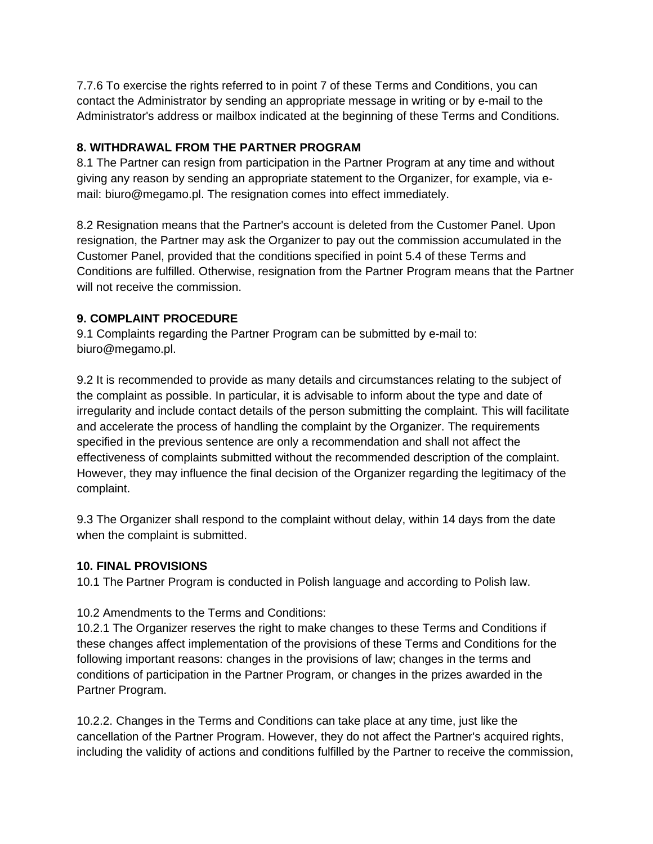7.7.6 To exercise the rights referred to in point 7 of these Terms and Conditions, you can contact the Administrator by sending an appropriate message in writing or by e-mail to the Administrator's address or mailbox indicated at the beginning of these Terms and Conditions.

### **8. WITHDRAWAL FROM THE PARTNER PROGRAM**

8.1 The Partner can resign from participation in the Partner Program at any time and without giving any reason by sending an appropriate statement to the Organizer, for example, via email: biuro@megamo.pl. The resignation comes into effect immediately.

8.2 Resignation means that the Partner's account is deleted from the Customer Panel. Upon resignation, the Partner may ask the Organizer to pay out the commission accumulated in the Customer Panel, provided that the conditions specified in point 5.4 of these Terms and Conditions are fulfilled. Otherwise, resignation from the Partner Program means that the Partner will not receive the commission.

## **9. COMPLAINT PROCEDURE**

9.1 Complaints regarding the Partner Program can be submitted by e-mail to: biuro@megamo.pl.

9.2 It is recommended to provide as many details and circumstances relating to the subject of the complaint as possible. In particular, it is advisable to inform about the type and date of irregularity and include contact details of the person submitting the complaint. This will facilitate and accelerate the process of handling the complaint by the Organizer. The requirements specified in the previous sentence are only a recommendation and shall not affect the effectiveness of complaints submitted without the recommended description of the complaint. However, they may influence the final decision of the Organizer regarding the legitimacy of the complaint.

9.3 The Organizer shall respond to the complaint without delay, within 14 days from the date when the complaint is submitted.

## **10. FINAL PROVISIONS**

10.1 The Partner Program is conducted in Polish language and according to Polish law.

## 10.2 Amendments to the Terms and Conditions:

10.2.1 The Organizer reserves the right to make changes to these Terms and Conditions if these changes affect implementation of the provisions of these Terms and Conditions for the following important reasons: changes in the provisions of law; changes in the terms and conditions of participation in the Partner Program, or changes in the prizes awarded in the Partner Program.

10.2.2. Changes in the Terms and Conditions can take place at any time, just like the cancellation of the Partner Program. However, they do not affect the Partner's acquired rights, including the validity of actions and conditions fulfilled by the Partner to receive the commission,